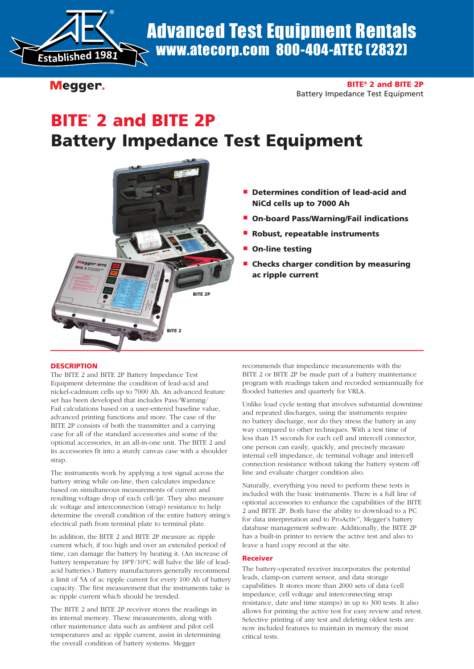

Advanced Test Equipment Rentals www.atecorp.com 800-404-ATEC (2832)

Megger.

## BITE® 2 and BITE 2P Battery Impedance Test Equipment

# BITE<sup>®</sup> 2 and BITE 2P Battery Impedance Test Equipment



## **P** Determines condition of lead-acid and NiCd cells up to 7000 Ah

- On-board Pass/Warning/Fail indications
- Robust, repeatable instruments
- **On-line testing**
- <sup>n</sup> Checks charger condition by measuring ac ripple current

## **DESCRIPTION**

The BITE 2 and BITE 2P Battery Impedance Test Equipment determine the condition of lead-acid and nickel-cadmium cells up to 7000 Ah. An advanced feature set has been developed that includes Pass/Warning/ Fail calculations based on a user-entered baseline value, advanced printing functions and more. The case of the BITE 2P consists of both the transmitter and a carrying case for all of the standard accessories and some of the optional accessories, in an all-in-one unit. The BITE 2 and its accessories fit into a sturdy canvas case with a shoulder strap.

The instruments work by applying a test signal across the battery string while on-line, then calculates impedance based on simultaneous measurements of current and resulting voltage drop of each cell/jar. They also measure dc voltage and interconnection (strap) resistance to help determine the overall condition of the entire battery string's electrical path from terminal plate to terminal plate.

In addition, the BITE 2 and BITE 2P measure ac ripple current which, if too high and over an extended period of time, can damage the battery by heating it. (An increase of battery temperature by 18ºF/10ºC will halve the life of leadacid batteries.) Battery manufacturers generally recommend a limit of 5A of ac ripple current for every 100 Ah of battery capacity. The first measurement that the instruments take is ac ripple current which should be trended.

The BITE 2 and BITE 2P receiver stores the readings in its internal memory. These measurements, along with other maintenance data such as ambient and pilot cell temperatures and ac ripple current, assist in determining the overall condition of battery systems. Megger

recommends that impedance measurements with the BITE 2 or BITE 2P be made part of a battery maintenance program with readings taken and recorded semiannually for flooded batteries and quarterly for VRLA.

Unlike load cycle testing that involves substantial downtime and repeated discharges, using the instruments require no battery discharge, nor do they stress the battery in any way compared to other techniques. With a test time of less than 15 seconds for each cell and intercell connector, one person can easily, quickly, and precisely measure internal cell impedance, dc terminal voltage and intercell connection resistance without taking the battery system off line and evaluate charger condition also.

Naturally, everything you need to perform these tests is included with the basic instruments. There is a full line of optional accessories to enhance the capabilities of the BITE 2 and BITE 2P. Both have the ability to download to a PC for data interpretation and to ProActiv™, Megger's battery database management software. Additionally, the BITE 2P has a built-in printer to review the active test and also to leave a hard copy record at the site.

## Receiver

The battery-operated receiver incorporates the potential leads, clamp-on current sensor, and data storage capabilities. It stores more than 2000 sets of data (cell impedance, cell voltage and interconnecting strap resistance, date and time stamps) in up to 300 tests. It also allows for printing the active test for easy review and retest. Selective printing of any test and deleting oldest tests are now included features to maintain in memory the most critical tests.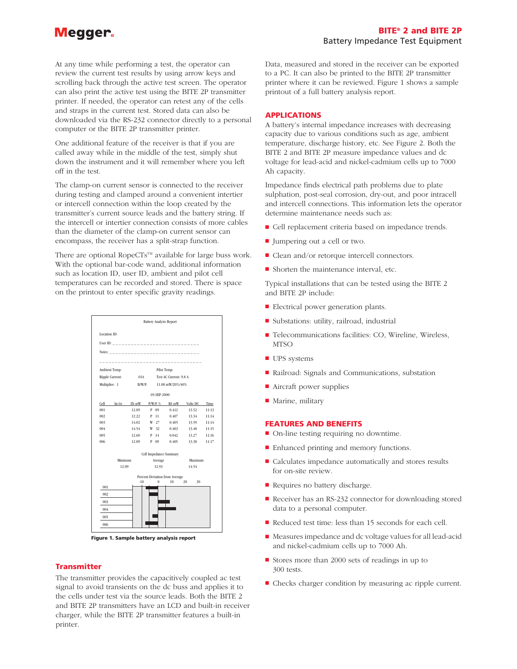## Megger.

At any time while performing a test, the operator can review the current test results by using arrow keys and scrolling back through the active test screen. The operator can also print the active test using the BITE 2P transmitter printer. If needed, the operator can retest any of the cells and straps in the current test. Stored data can also be downloaded via the RS-232 connector directly to a personal computer or the BITE 2P transmitter printer.

One additional feature of the receiver is that if you are called away while in the middle of the test, simply shut down the instrument and it will remember where you left off in the test.

The clamp-on current sensor is connected to the receiver during testing and clamped around a convenient intertier or intercell connection within the loop created by the transmitter's current source leads and the battery string. If the intercell or intertier connection consists of more cables than the diameter of the clamp-on current sensor can encompass, the receiver has a split-strap function.

There are optional RopeCTs™ available for large buss work. With the optional bar-code wand, additional information such as location ID, user ID, ambient and pilot cell temperatures can be recorded and stored. There is space on the printout to enter specific gravity readings.



Figure 1. Sample battery analysis report

#### **Transmitter**

The transmitter provides the capacitively coupled ac test signal to avoid transients on the dc buss and applies it to the cells under test via the source leads. Both the BITE 2 and BITE 2P transmitters have an LCD and built-in receiver charger, while the BITE 2P transmitter features a built-in printer.

Data, measured and stored in the receiver can be exported to a PC. It can also be printed to the BITE 2P transmitter printer where it can be reviewed. Figure 1 shows a sample printout of a full battery analysis report.

#### APPLICATIONS

A battery's internal impedance increases with decreasing capacity due to various conditions such as age, ambient temperature, discharge history, etc. See Figure 2. Both the BITE 2 and BITE 2P measure impedance values and dc voltage for lead-acid and nickel-cadmium cells up to 7000 Ah capacity.

Impedance finds electrical path problems due to plate sulphation, post-seal corrosion, dry-out, and poor intracell and intercell connections. This information lets the operator determine maintenance needs such as:

- Cell replacement criteria based on impedance trends.
- Jumpering out a cell or two.
- $\blacksquare$  Clean and/or retorque intercell connectors.
- $\blacksquare$  Shorten the maintenance interval, etc.

Typical installations that can be tested using the BITE 2 and BITE 2P include:

- **Electrical power generation plants.**
- <sup>n</sup> Substations: utility, railroad, industrial
- Telecommunications facilities: CO, Wireline, Wireless, MTSO
- **n** UPS systems
- Railroad: Signals and Communications, substation
- $\blacksquare$  Aircraft power supplies
- $\blacksquare$  Marine, military

#### FEATURES AND BENEFITS

- On-line testing requiring no downtime.
- $\blacksquare$  Enhanced printing and memory functions.
- Calculates impedance automatically and stores results for on-site review.
- Requires no battery discharge.
- Receiver has an RS-232 connector for downloading stored data to a personal computer.
- Reduced test time: less than 15 seconds for each cell.
- Measures impedance and dc voltage values for all lead-acid and nickel-cadmium cells up to 7000 Ah.
- Stores more than 2000 sets of readings in up to 300 tests.
- Checks charger condition by measuring ac ripple current.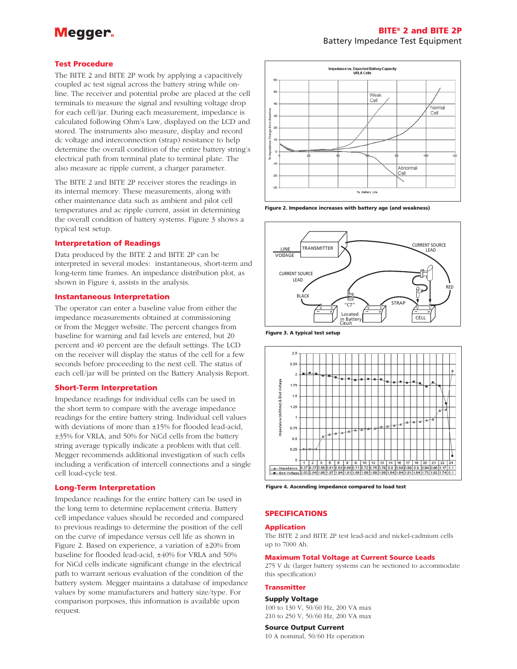## Meaaer.

## BITE® 2 and BITE 2P Battery Impedance Test Equipment

#### Test Procedure

The BITE 2 and BITE 2P work by applying a capacitively coupled ac test signal across the battery string while online. The receiver and potential probe are placed at the cell terminals to measure the signal and resulting voltage drop for each cell/jar. During each measurement, impedance is calculated following Ohm's Law, displayed on the LCD and stored. The instruments also measure, display and record dc voltage and interconnection (strap) resistance to help determine the overall condition of the entire battery string's electrical path from terminal plate to terminal plate. The also measure ac ripple current, a charger parameter.

The BITE 2 and BITE 2P receiver stores the readings in its internal memory. These measurements, along with other maintenance data such as ambient and pilot cell temperatures and ac ripple current, assist in determining the overall condition of battery systems. Figure 3 shows a typical test setup.

#### Interpretation of Readings

Data produced by the BITE 2 and BITE 2P can be interpreted in several modes: instantaneous, short-term and long-term time frames. An impedance distribution plot, as shown in Figure 4, assists in the analysis.

#### Instantaneous Interpretation

The operator can enter a baseline value from either the impedance measurements obtained at commissioning or from the Megger website. The percent changes from baseline for warning and fail levels are entered, but 20 percent and 40 percent are the default settings. The LCD on the receiver will display the status of the cell for a few seconds before proceeding to the next cell. The status of each cell/jar will be printed on the Battery Analysis Report.

#### Short-Term Interpretation

Impedance readings for individual cells can be used in the short term to compare with the average impedance readings for the entire battery string. Individual cell values with deviations of more than ±15% for flooded lead-acid, ±35% for VRLA, and 50% for NiCd cells from the battery string average typically indicate a problem with that cell. Megger recommends additional investigation of such cells including a verification of intercell connections and a single cell load-cycle test.

#### Long-Term Interpretation

Impedance readings for the entire battery can be used in the long term to determine replacement criteria. Battery cell impedance values should be recorded and compared to previous readings to determine the position of the cell on the curve of impedance versus cell life as shown in Figure 2. Based on experience, a variation of ±20% from baseline for flooded lead-acid, ±40% for VRLA and 50% for NiCd cells indicate significant change in the electrical path to warrant serious evaluation of the condition of the battery system. Megger maintains a database of impedance values by some manufacturers and battery size/type. For comparison purposes, this information is available upon request.



Figure 2. Impedance increases with battery age (and weakness)



Figure 3. A typical test setup



Figure 4. Ascending impedance compared to load test

### SPECIFICATIONS

#### Application

The BITE 2 and BITE 2P test lead-acid and nickel-cadmium cells up to 7000 Ah.

#### Maximum Total Voltage at Current Source Leads

275 V dc (larger battery systems can be sectioned to accommodate this specification)

#### **Transmitter**

#### Supply Voltage

100 to 130 V, 50/60 Hz, 200 VA max 210 to 250 V, 50/60 Hz, 200 VA max

#### Source Output Current

10 A nominal, 50/60 Hz operation